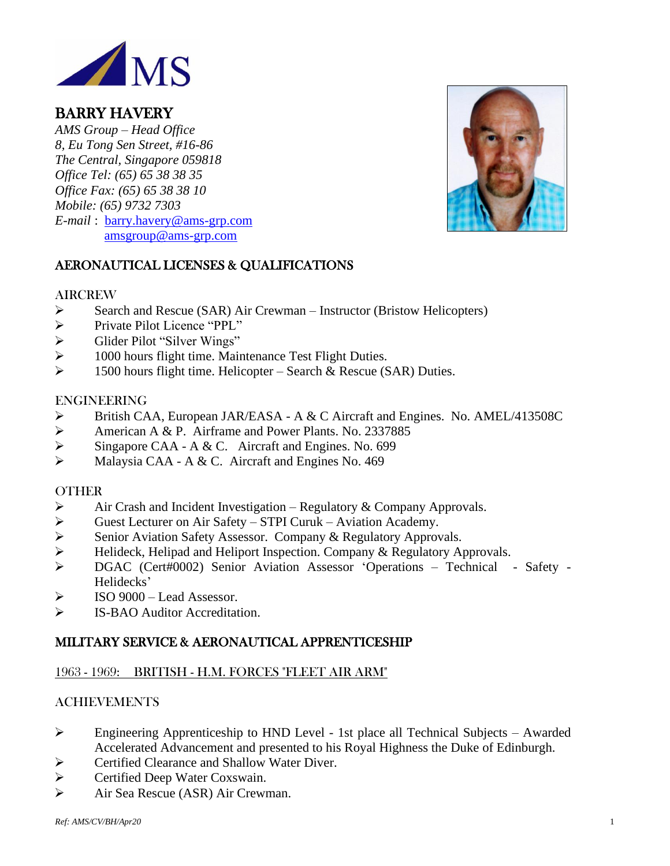

# BARRY HAVERY

*AMS Group – Head Office 8, Eu Tong Sen Street, #16-86 The Central, Singapore 059818 Office Tel: (65) 65 38 38 35 Office Fax: (65) 65 38 38 10 Mobile: (65) 9732 7303 E-mail* : [barry.havery@ams-grp.com](mailto:barry.havery@ams-grp.com) [amsgroup@ams-grp.com](mailto:amsgroup@ams-grp.com)



# AERONAUTICAL LICENSES & QUALIFICATIONS

#### AIRCREW

- ➢ Search and Rescue (SAR) Air Crewman Instructor (Bristow Helicopters)
- ➢ Private Pilot Licence "PPL"
- ➢ Glider Pilot "Silver Wings"
- ➢ 1000 hours flight time. Maintenance Test Flight Duties.
- $\triangleright$  1500 hours flight time. Helicopter Search & Rescue (SAR) Duties.

#### ENGINEERING

- ➢ British CAA, European JAR/EASA A & C Aircraft and Engines. No. AMEL/413508C
- ➢ American A & P. Airframe and Power Plants. No. 2337885
- ➢ Singapore CAA A & C. Aircraft and Engines. No. 699
- ➢ Malaysia CAA A & C. Aircraft and Engines No. 469

## OTHER

- $\triangleright$  Air Crash and Incident Investigation Regulatory & Company Approvals.
- ➢ Guest Lecturer on Air Safety STPI Curuk Aviation Academy.
- ➢ Senior Aviation Safety Assessor. Company & Regulatory Approvals.
- ➢ Helideck, Helipad and Heliport Inspection. Company & Regulatory Approvals.
- ➢ DGAC (Cert#0002) Senior Aviation Assessor 'Operations Technical Safety Helidecks'
- $\triangleright$  ISO 9000 Lead Assessor.
- ➢ IS-BAO Auditor Accreditation.

## MILITARY SERVICE & AERONAUTICAL APPRENTICESHIP

## 1963 - 1969: BRITISH - H.M. FORCES "FLEET AIR ARM"

## ACHIEVEMENTS

- ➢ Engineering Apprenticeship to HND Level 1st place all Technical Subjects Awarded Accelerated Advancement and presented to his Royal Highness the Duke of Edinburgh.
- ➢ Certified Clearance and Shallow Water Diver.
- ➢ Certified Deep Water Coxswain.
- ➢ Air Sea Rescue (ASR) Air Crewman.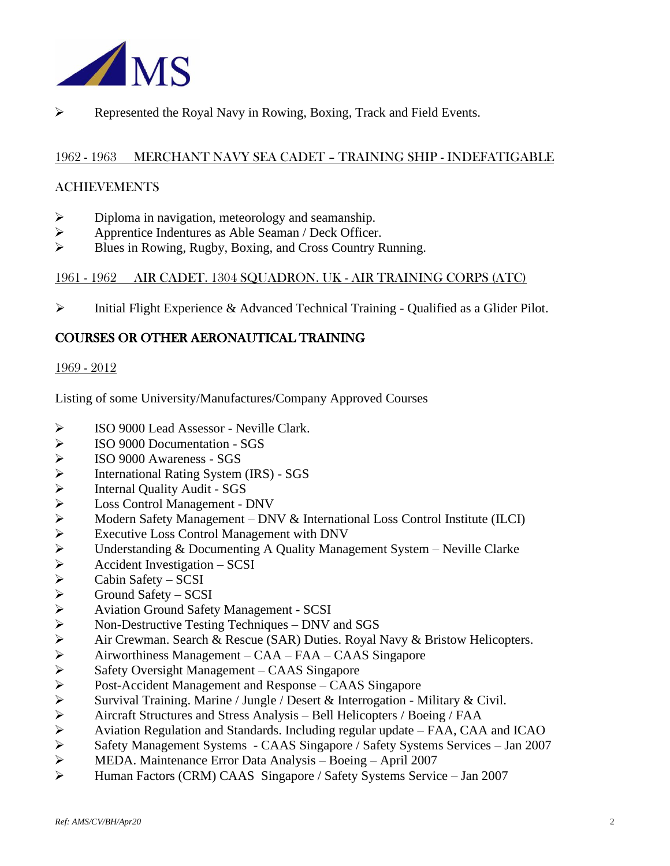

➢ Represented the Royal Navy in Rowing, Boxing, Track and Field Events.

#### 1962 - 1963 MERCHANT NAVY SEA CADET – TRAINING SHIP - INDEFATIGABLE

#### ACHIEVEMENTS

- $\triangleright$  Diploma in navigation, meteorology and seamanship.
- ➢ Apprentice Indentures as Able Seaman / Deck Officer.
- ➢ Blues in Rowing, Rugby, Boxing, and Cross Country Running.

#### 1961 - 1962 AIR CADET. 1304 SQUADRON. UK - AIR TRAINING CORPS (ATC)

➢ Initial Flight Experience & Advanced Technical Training - Qualified as a Glider Pilot.

## COURSES OR OTHER AERONAUTICAL TRAINING

#### 1969 - 2012

Listing of some University/Manufactures/Company Approved Courses

- ➢ ISO 9000 Lead Assessor Neville Clark.
- 
- ➢ ISO 9000 Documentation SGS ➢ ISO 9000 Awareness - SGS
- 
- ➢ Internal Quality Audit SGS
- ➢ Loss Control Management DNV
- → International Rating System (IRS) SGS<br>
→ Internal Quality Audit SGS<br>
→ Loss Control Management DNV & Ir<br>
→ Modern Safety Management DNV & Ir<br>
Executive Loss Control Management wit<br>
→ Executive Loss Control Manag ➢ Modern Safety Management – DNV & International Loss Control Institute (ILCI)
- ➢ Executive Loss Control Management with DNV
- Understanding & Documenting A Quality Management System Neville Clarke
- ➢ Accident Investigation SCSI
- ➢ Cabin Safety SCSI
- ➢ Ground Safety SCSI
- ➢ Aviation Ground Safety Management SCSI
- ➢ Non-Destructive Testing Techniques DNV and SGS
- Air Crewman. Search & Rescue (SAR) Duties. Royal Navy & Bristow Helicopters.
- ➢ Airworthiness Management CAA FAA CAAS Singapore
- ➢ Safety Oversight Management CAAS Singapore
- ➢ Post-Accident Management and Response CAAS Singapore
- Survival Training. Marine / Jungle / Desert & Interrogation Military & Civil.
- ➢ Aircraft Structures and Stress Analysis Bell Helicopters / Boeing / FAA
- ➢ Aviation Regulation and Standards. Including regular update FAA, CAA and ICAO
- ➢ Safety Management Systems CAAS Singapore / Safety Systems Services Jan 2007
- ➢ MEDA. Maintenance Error Data Analysis Boeing April 2007
- ➢ Human Factors (CRM) CAAS Singapore / Safety Systems Service Jan 2007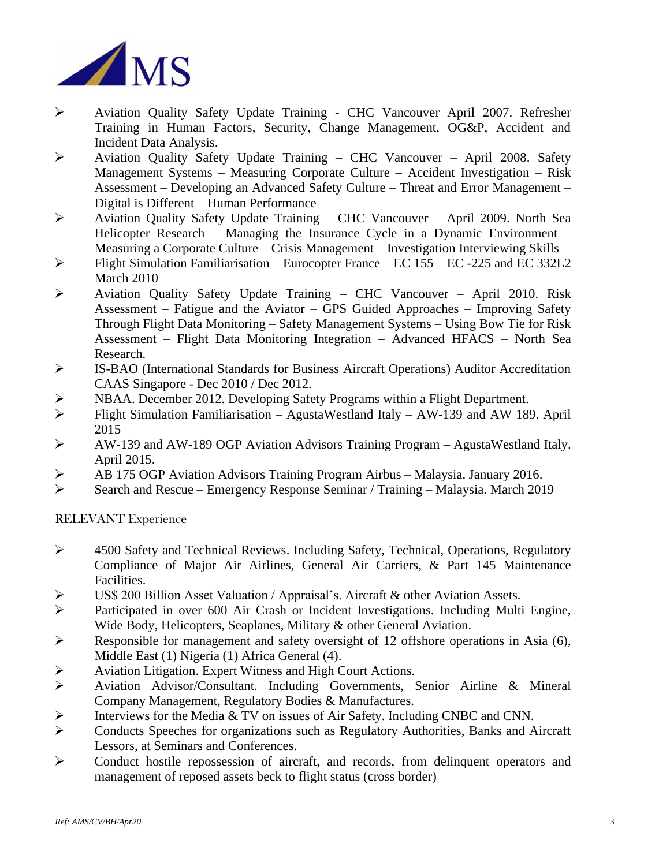

- ➢ Aviation Quality Safety Update Training CHC Vancouver April 2007. Refresher Training in Human Factors, Security, Change Management, OG&P, Accident and Incident Data Analysis.
- $\triangleright$  Aviation Quality Safety Update Training CHC Vancouver April 2008. Safety Management Systems – Measuring Corporate Culture – Accident Investigation – Risk Assessment – Developing an Advanced Safety Culture – Threat and Error Management – Digital is Different – Human Performance
- ➢ Aviation Quality Safety Update Training CHC Vancouver April 2009. North Sea Helicopter Research – Managing the Insurance Cycle in a Dynamic Environment – Measuring a Corporate Culture – Crisis Management – Investigation Interviewing Skills
- ➢ Flight Simulation Familiarisation Eurocopter France EC 155 EC -225 and EC 332L2 March 2010
- ➢ Aviation Quality Safety Update Training CHC Vancouver April 2010. Risk Assessment – Fatigue and the Aviator – GPS Guided Approaches – Improving Safety Through Flight Data Monitoring – Safety Management Systems – Using Bow Tie for Risk Assessment – Flight Data Monitoring Integration – Advanced HFACS – North Sea Research.
- ➢ IS-BAO (International Standards for Business Aircraft Operations) Auditor Accreditation CAAS Singapore - Dec 2010 / Dec 2012.
- ➢ NBAA. December 2012. Developing Safety Programs within a Flight Department.
- ➢ Flight Simulation Familiarisation AgustaWestland Italy AW-139 and AW 189. April 2015
- ➢ AW-139 and AW-189 OGP Aviation Advisors Training Program AgustaWestland Italy. April 2015.
- ➢ AB 175 OGP Aviation Advisors Training Program Airbus Malaysia. January 2016.
- ➢ Search and Rescue Emergency Response Seminar / Training Malaysia. March 2019

RELEVANT Experience

- ➢ 4500 Safety and Technical Reviews. Including Safety, Technical, Operations, Regulatory Compliance of Major Air Airlines, General Air Carriers, & Part 145 Maintenance Facilities.
- ➢ US\$ 200 Billion Asset Valuation / Appraisal's. Aircraft & other Aviation Assets.
- ➢ Participated in over 600 Air Crash or Incident Investigations. Including Multi Engine, Wide Body, Helicopters, Seaplanes, Military & other General Aviation.
- ➢ Responsible for management and safety oversight of 12 offshore operations in Asia (6), Middle East (1) Nigeria (1) Africa General (4).
- ➢ Aviation Litigation. Expert Witness and High Court Actions.
- ➢ Aviation Advisor/Consultant. Including Governments, Senior Airline & Mineral Company Management, Regulatory Bodies & Manufactures.
- ➢ Interviews for the Media & TV on issues of Air Safety. Including CNBC and CNN.
- ➢ Conducts Speeches for organizations such as Regulatory Authorities, Banks and Aircraft Lessors, at Seminars and Conferences.
- ➢ Conduct hostile repossession of aircraft, and records, from delinquent operators and management of reposed assets beck to flight status (cross border)